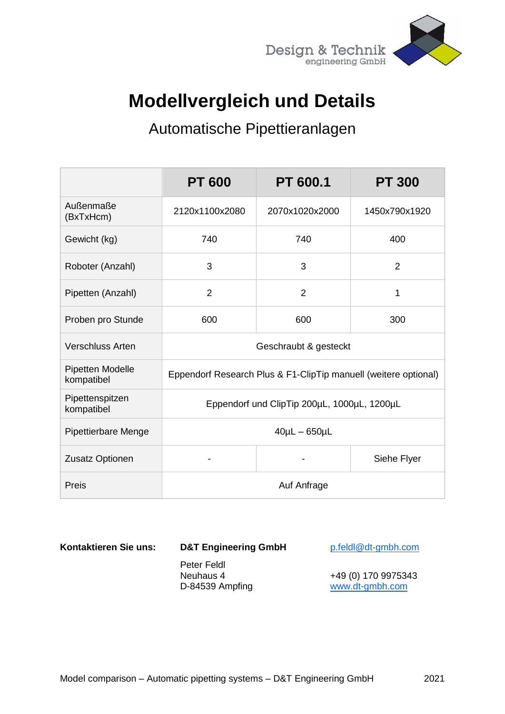

## **Modellvergleich und Details**

## Automatische Pipettieranlagen

|                                | <b>PT 600</b>                                                   | <b>PT 600.1</b> | <b>PT 300</b>  |
|--------------------------------|-----------------------------------------------------------------|-----------------|----------------|
| Außenmaße<br>(BxTxHcm)         | 2120x1100x2080                                                  | 2070x1020x2000  | 1450x790x1920  |
| Gewicht (kg)                   | 740                                                             | 740             | 400            |
| Roboter (Anzahl)               | 3                                                               | 3               | $\overline{2}$ |
| Pipetten (Anzahl)              | $\overline{2}$                                                  | $\overline{2}$  | 1              |
| Proben pro Stunde              | 600                                                             | 600             | 300            |
| <b>Verschluss Arten</b>        | Geschraubt & gesteckt                                           |                 |                |
| Pipetten Modelle<br>kompatibel | Eppendorf Research Plus & F1-ClipTip manuell (weitere optional) |                 |                |
| Pipettenspitzen<br>kompatibel  | Eppendorf und ClipTip 200µL, 1000µL, 1200µL                     |                 |                |
| <b>Pipettierbare Menge</b>     | $40\mu L - 650\mu L$                                            |                 |                |
| Zusatz Optionen                |                                                                 |                 | Siehe Flyer    |
| Preis                          | Auf Anfrage                                                     |                 |                |

**Kontaktieren Sie uns: D&T Engineering GmbH** [p.feldl@dt-gmbh.com](mailto:p.feldl@dt-gmbh.com)

Peter Feldl

Neuhaus 4 +49 (0) 170 9975343 D-84539 Ampfing [www.dt-gmbh.com](http://www.dt-gmbh.com/)